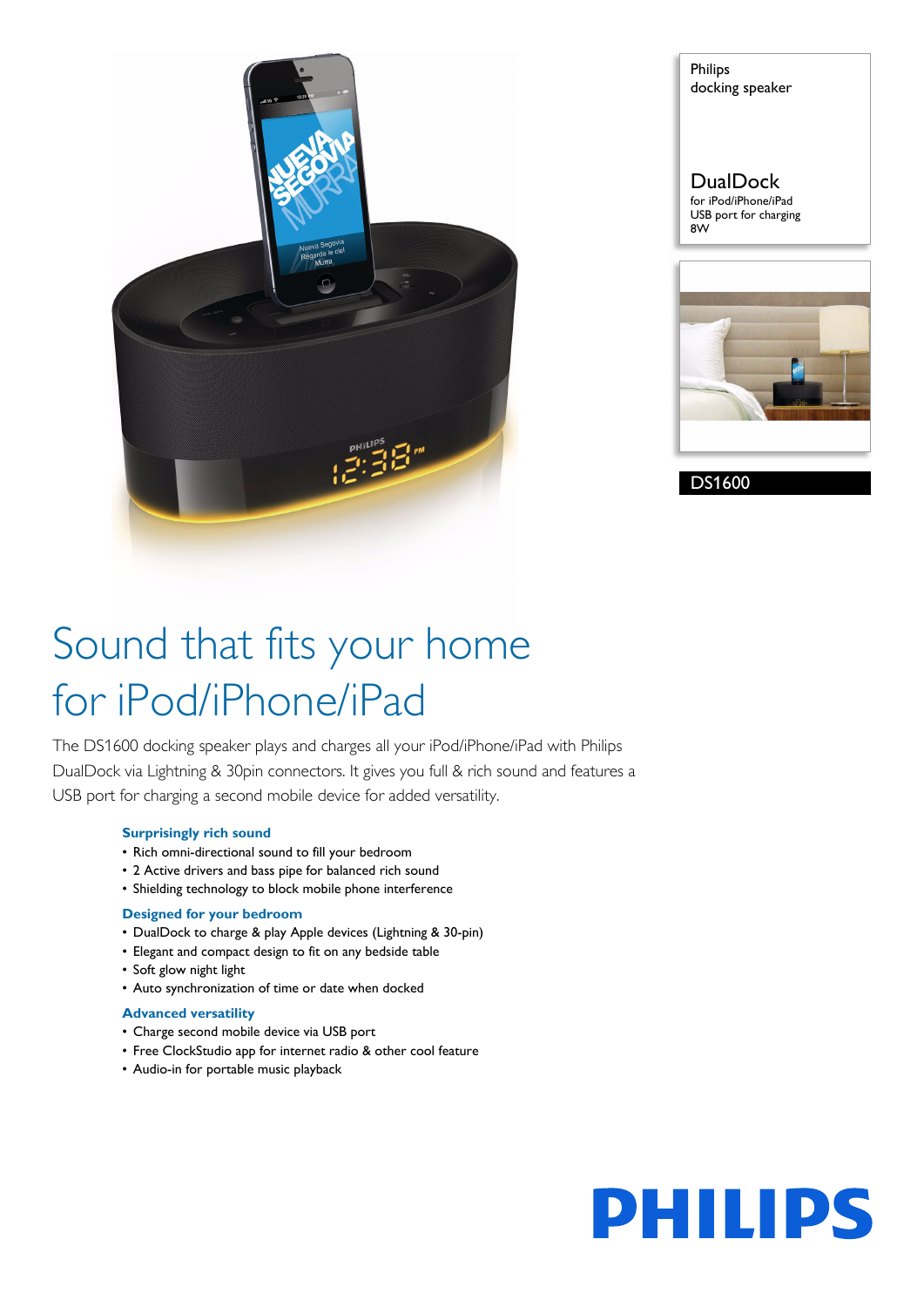

Philips docking speaker

**DualDock** for iPod/iPhone/iPad USB port for charging 8W



DS1600

# Sound that fits your home for iPod/iPhone/iPad

The DS1600 docking speaker plays and charges all your iPod/iPhone/iPad with Philips DualDock via Lightning & 30pin connectors. It gives you full & rich sound and features a USB port for charging a second mobile device for added versatility.

### **Surprisingly rich sound**

- Rich omni-directional sound to fill your bedroom
- 2 Active drivers and bass pipe for balanced rich sound
- Shielding technology to block mobile phone interference

### **Designed for your bedroom**

- DualDock to charge & play Apple devices (Lightning & 30-pin)
- Elegant and compact design to fit on any bedside table
- Soft glow night light
- Auto synchronization of time or date when docked

### **Advanced versatility**

- Charge second mobile device via USB port
- Free ClockStudio app for internet radio & other cool feature
- Audio-in for portable music playback